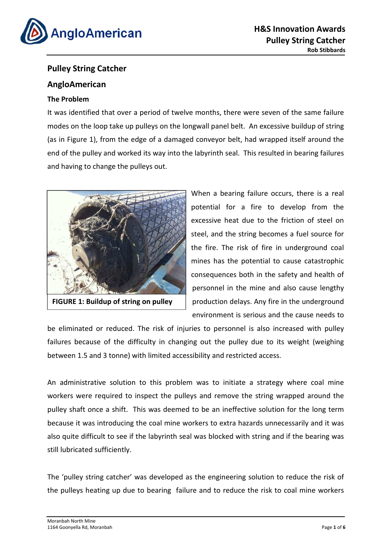

# **Pulley String Catcher**

# **AngloAmerican**

### **The Problem**

It was identified that over a period of twelve months, there were seven of the same failure modes on the loop take up pulleys on the longwall panel belt. An excessive buildup of string (as in Figure 1), from the edge of a damaged conveyor belt, had wrapped itself around the end of the pulley and worked its way into the labyrinth seal. This resulted in bearing failures and having to change the pulleys out.



**FIGURE 1: Buildup of string on pulley shaft**

When a bearing failure occurs, there is a real potential for a fire to develop from the excessive heat due to the friction of steel on steel, and the string becomes a fuel source for the fire. The risk of fire in underground coal mines has the potential to cause catastrophic consequences both in the safety and health of personnel in the mine and also cause lengthy production delays. Any fire in the underground environment is serious and the cause needs to

be eliminated or reduced. The risk of injuries to personnel is also increased with pulley failures because of the difficulty in changing out the pulley due to its weight (weighing between 1.5 and 3 tonne) with limited accessibility and restricted access.

An administrative solution to this problem was to initiate a strategy where coal mine workers were required to inspect the pulleys and remove the string wrapped around the pulley shaft once a shift. This was deemed to be an ineffective solution for the long term because it was introducing the coal mine workers to extra hazards unnecessarily and it was also quite difficult to see if the labyrinth seal was blocked with string and if the bearing was still lubricated sufficiently.

The 'pulley string catcher' was developed as the engineering solution to reduce the risk of the pulleys heating up due to bearing failure and to reduce the risk to coal mine workers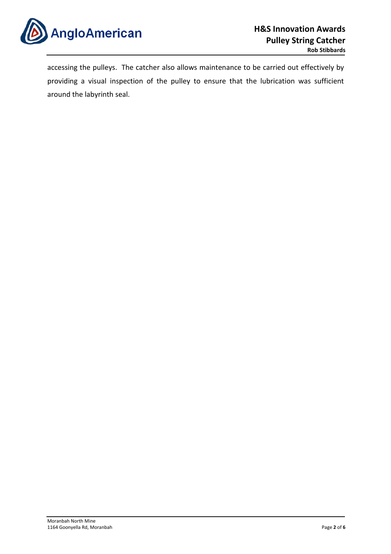

accessing the pulleys. The catcher also allows maintenance to be carried out effectively by providing a visual inspection of the pulley to ensure that the lubrication was sufficient around the labyrinth seal.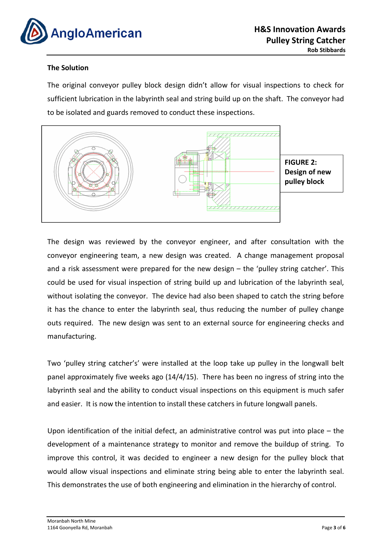

#### **The Solution**

The original conveyor pulley block design didn't allow for visual inspections to check for sufficient lubrication in the labyrinth seal and string build up on the shaft. The conveyor had to be isolated and guards removed to conduct these inspections.



The design was reviewed by the conveyor engineer, and after consultation with the conveyor engineering team, a new design was created. A change management proposal and a risk assessment were prepared for the new design – the 'pulley string catcher'. This could be used for visual inspection of string build up and lubrication of the labyrinth seal, without isolating the conveyor. The device had also been shaped to catch the string before it has the chance to enter the labyrinth seal, thus reducing the number of pulley change outs required. The new design was sent to an external source for engineering checks and manufacturing.

Two 'pulley string catcher's' were installed at the loop take up pulley in the longwall belt panel approximately five weeks ago (14/4/15). There has been no ingress of string into the labyrinth seal and the ability to conduct visual inspections on this equipment is much safer and easier. It is now the intention to install these catchers in future longwall panels.

Upon identification of the initial defect, an administrative control was put into place – the development of a maintenance strategy to monitor and remove the buildup of string. To improve this control, it was decided to engineer a new design for the pulley block that would allow visual inspections and eliminate string being able to enter the labyrinth seal. This demonstrates the use of both engineering and elimination in the hierarchy of control.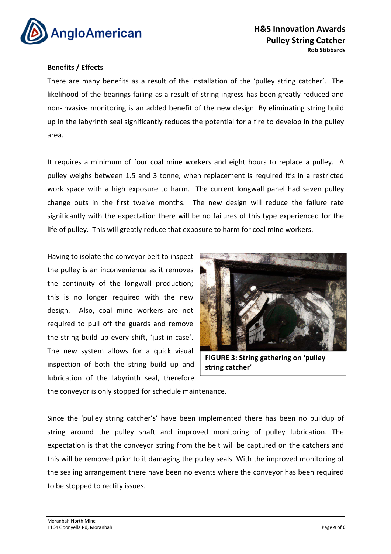

#### **Benefits / Effects**

There are many benefits as a result of the installation of the 'pulley string catcher'. The likelihood of the bearings failing as a result of string ingress has been greatly reduced and non-invasive monitoring is an added benefit of the new design. By eliminating string build up in the labyrinth seal significantly reduces the potential for a fire to develop in the pulley area.

It requires a minimum of four coal mine workers and eight hours to replace a pulley. A pulley weighs between 1.5 and 3 tonne, when replacement is required it's in a restricted work space with a high exposure to harm. The current longwall panel had seven pulley change outs in the first twelve months. The new design will reduce the failure rate significantly with the expectation there will be no failures of this type experienced for the life of pulley. This will greatly reduce that exposure to harm for coal mine workers.

Having to isolate the conveyor belt to inspect the pulley is an inconvenience as it removes the continuity of the longwall production; this is no longer required with the new design. Also, coal mine workers are not required to pull off the guards and remove the string build up every shift, 'just in case'. The new system allows for a quick visual inspection of both the string build up and lubrication of the labyrinth seal, therefore



**FIGURE 3: String gathering on 'pulley string catcher'**

the conveyor is only stopped for schedule maintenance.

Since the 'pulley string catcher's' have been implemented there has been no buildup of string around the pulley shaft and improved monitoring of pulley lubrication. The expectation is that the conveyor string from the belt will be captured on the catchers and this will be removed prior to it damaging the pulley seals. With the improved monitoring of the sealing arrangement there have been no events where the conveyor has been required to be stopped to rectify issues.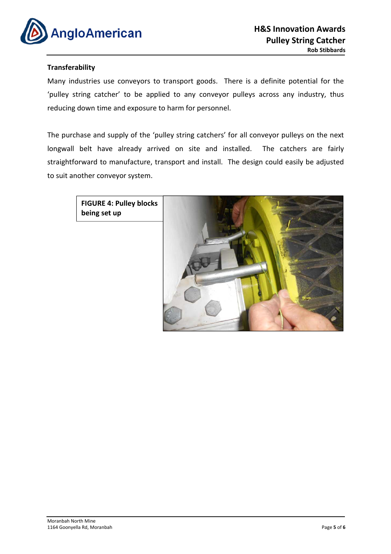

#### **Transferability**

Many industries use conveyors to transport goods. There is a definite potential for the 'pulley string catcher' to be applied to any conveyor pulleys across any industry, thus reducing down time and exposure to harm for personnel.

The purchase and supply of the 'pulley string catchers' for all conveyor pulleys on the next longwall belt have already arrived on site and installed. The catchers are fairly straightforward to manufacture, transport and install. The design could easily be adjusted to suit another conveyor system.